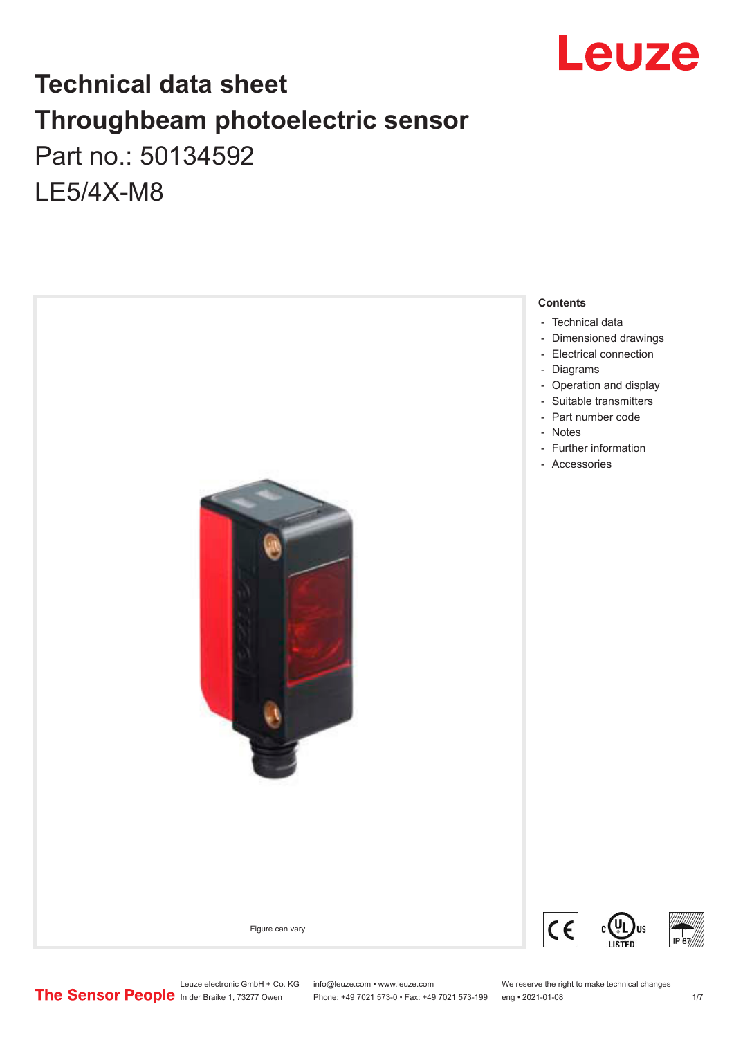

## **Technical data sheet Throughbeam photoelectric sensor**  Part no.: 50134592 LE5/4X-M8



Leuze electronic GmbH + Co. KG info@leuze.com • www.leuze.com We reserve the right to make technical changes<br>
The Sensor People in der Braike 1, 73277 Owen Phone: +49 7021 573-0 • Fax: +49 7021 573-199 eng • 2021-01-08

Phone: +49 7021 573-0 • Fax: +49 7021 573-199 eng • 2021-01-08 17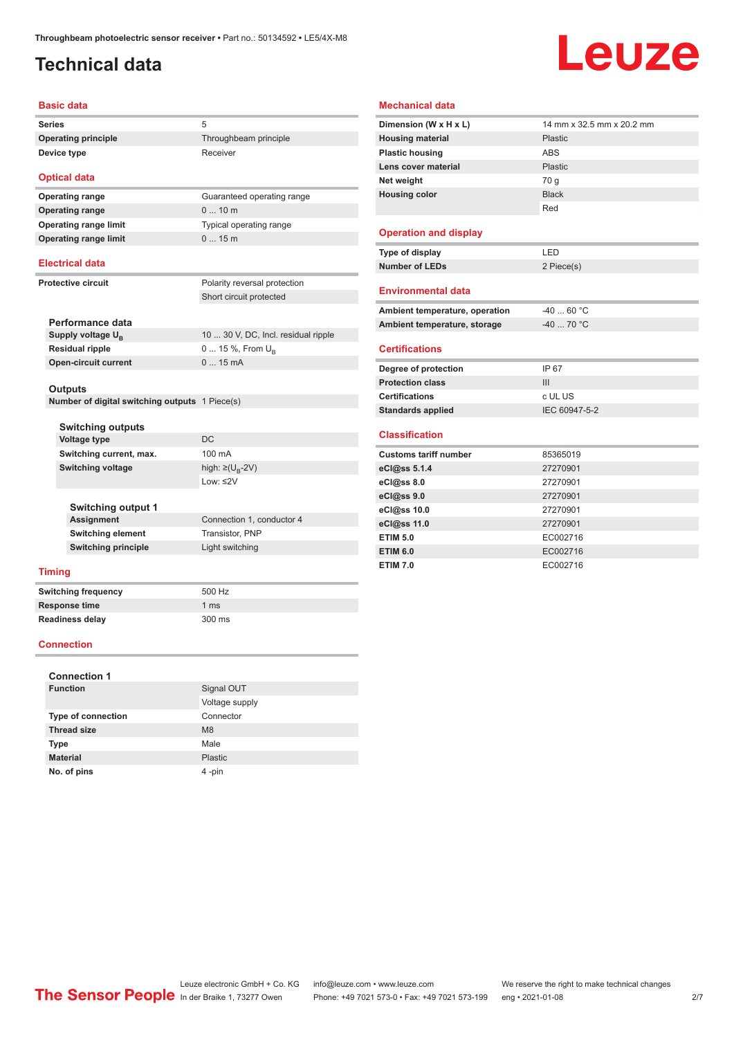## <span id="page-1-0"></span>**Technical data**

# Leuze

#### **Basic data**

| <b>Series</b>              |                       |
|----------------------------|-----------------------|
| <b>Operating principle</b> | Throughbeam principle |
| Device type                | Receiver              |

#### **Optical data**

**Operating range** 0 ... 10 m **Operating range limit** 0 ... 15 m

## **Operating range** Guaranteed operating range **Operating range limit** Typical operating range

#### **Electrical data**

| <b>Protective circuit</b> |
|---------------------------|
|---------------------------|

Polarity reversal protection Short circuit protected

| Performance data              |                                     |
|-------------------------------|-------------------------------------|
| Supply voltage U <sub>p</sub> | 10  30 V, DC, Incl. residual ripple |
| Residual ripple               | $0 15 \%$ , From $U_{p}$            |
| <b>Open-circuit current</b>   | $015$ mA                            |
|                               |                                     |

#### **Outputs**

**Number of digital switching outputs** 1 Piece(s)

| <b>Switching outputs</b>   |                                  |
|----------------------------|----------------------------------|
| Voltage type               | DC.                              |
| Switching current, max.    | $100 \text{ mA}$                 |
| Switching voltage          | high: $\geq (U_{\text{B}} - 2V)$ |
|                            | Low: $\leq$ 2V                   |
|                            |                                  |
| <b>Switching output 1</b>  |                                  |
| <b>Assignment</b>          | Connection 1, conductor 4        |
| <b>Switching element</b>   | Transistor, PNP                  |
| <b>Switching principle</b> | Light switching                  |
|                            |                                  |

#### **Timing**

**Switching frequency** 500 Hz **Response time** 1 ms **Readiness delay** 300 ms

#### **Connection**

| <b>Connection 1</b>       |                |
|---------------------------|----------------|
| <b>Function</b>           | Signal OUT     |
|                           | Voltage supply |
| <b>Type of connection</b> | Connector      |
| <b>Thread size</b>        | M <sub>8</sub> |
| <b>Type</b>               | Male           |
| <b>Material</b>           | Plastic        |
| No. of pins               | 4-pin          |

#### **Mechanical data Dimension (W x H x L)** 14 mm x 32.5 mm x 20.2 mm **Housing material** Plastic **Plastic housing** ABS **Lens cover material** Plastic **Net weight** 70 g **Housing color** Black Red **Operation and display Type of display** LED **Number of LEDs** 2 Piece(s) **Environmental data** Ambient temperature, operation  $-40...60$  °C **Ambient temperature, storage**  $-40$  ... 70 °C **Certifications Degree of protection** IP 67 **Protection class** III **Certifications** c UL US **Standards applied** IEC 60947-5-2 **Classification Customs tariff number** 85365019 **eCl@ss 5.1.4** 27270901 **eCl@ss 8.0** 27270901 **eCl@ss 9.0** 27270901 **eCl@ss 10.0** 27270901

**eCl@ss 11.0** 27270901 **ETIM 5.0** EC002716 **ETIM 6.0** EC002716 **ETIM 7.0** EC002716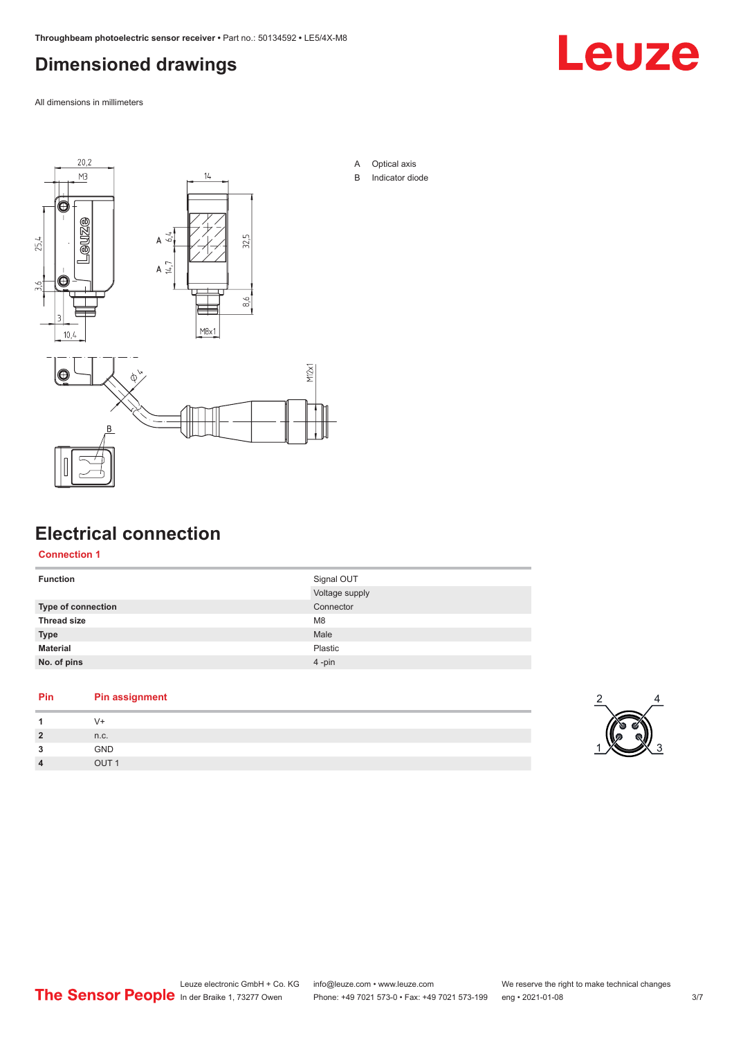## <span id="page-2-0"></span>**Dimensioned drawings**

Leuze

All dimensions in millimeters



#### **Electrical connection**

**Connection 1**

| Connector<br>Type of connection<br><b>Thread size</b><br>M <sub>8</sub><br>Male<br><b>Type</b><br><b>Material</b><br>Plastic | <b>Function</b> | Signal OUT<br>Voltage supply |
|------------------------------------------------------------------------------------------------------------------------------|-----------------|------------------------------|
|                                                                                                                              |                 |                              |
|                                                                                                                              |                 |                              |
|                                                                                                                              |                 |                              |
|                                                                                                                              |                 |                              |
|                                                                                                                              | No. of pins     | $4 - pin$                    |

#### **Pin Pin assignment**

| ,<br>∼ | n.c.       |
|--------|------------|
| ໍາ     | <b>GND</b> |
| 4      | QIT1       |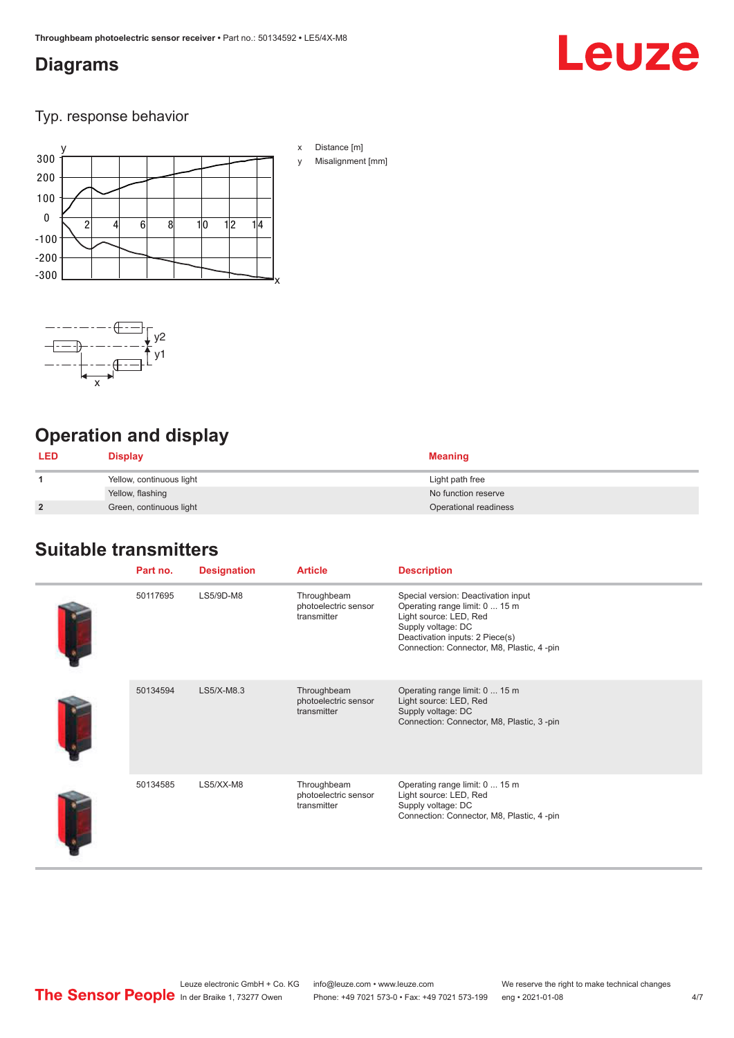#### <span id="page-3-0"></span>**Diagrams**

# Leuze

Typ. response behavior





## **Operation and display**

| <b>LED</b>     | <b>Display</b>           | <b>Meaning</b>        |
|----------------|--------------------------|-----------------------|
|                | Yellow, continuous light | Light path free       |
|                | Yellow, flashing         | No function reserve   |
| $\overline{2}$ | Green, continuous light  | Operational readiness |

### **Suitable transmitters**

| Part no. | <b>Designation</b> | <b>Article</b>                                     | <b>Description</b>                                                                                                                                                                                    |
|----------|--------------------|----------------------------------------------------|-------------------------------------------------------------------------------------------------------------------------------------------------------------------------------------------------------|
| 50117695 | LS5/9D-M8          | Throughbeam<br>photoelectric sensor<br>transmitter | Special version: Deactivation input<br>Operating range limit: 0  15 m<br>Light source: LED, Red<br>Supply voltage: DC<br>Deactivation inputs: 2 Piece(s)<br>Connection: Connector, M8, Plastic, 4-pin |
| 50134594 | $LS5/X-M8.3$       | Throughbeam<br>photoelectric sensor<br>transmitter | Operating range limit: 0  15 m<br>Light source: LED, Red<br>Supply voltage: DC<br>Connection: Connector, M8, Plastic, 3-pin                                                                           |
| 50134585 | LS5/XX-M8          | Throughbeam<br>photoelectric sensor<br>transmitter | Operating range limit: 0  15 m<br>Light source: LED, Red<br>Supply voltage: DC<br>Connection: Connector, M8, Plastic, 4-pin                                                                           |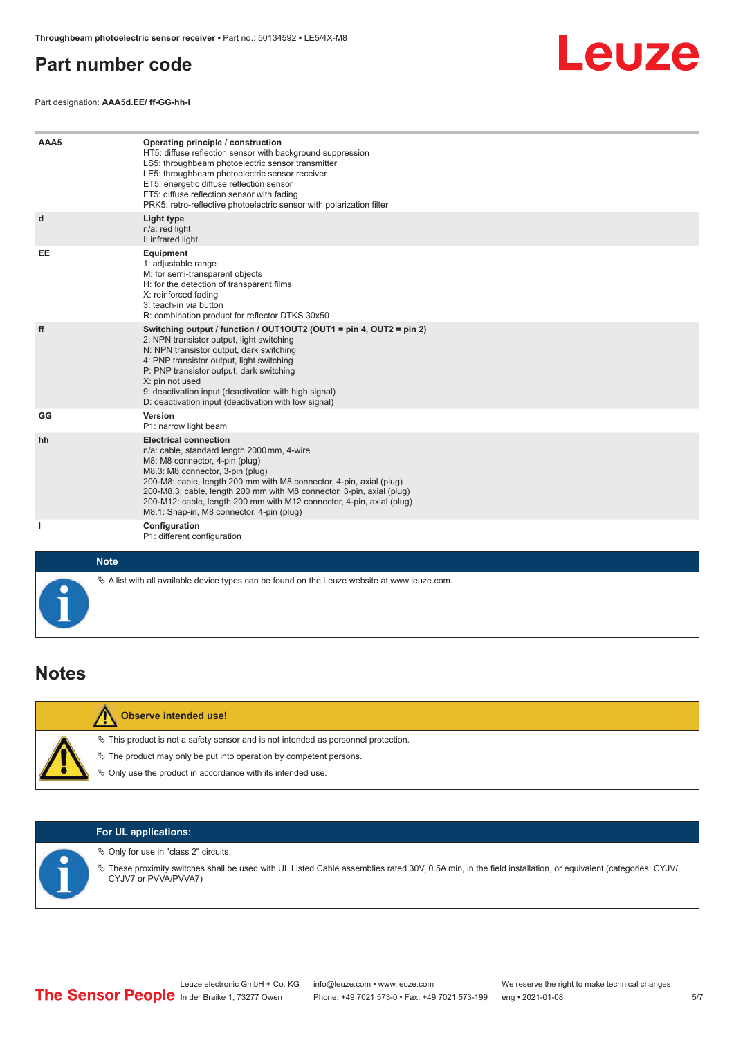#### <span id="page-4-0"></span>**Part number code**

Part designation: **AAA5d.EE/ ff-GG-hh-I**



| AAA5        | Operating principle / construction<br>HT5: diffuse reflection sensor with background suppression<br>LS5: throughbeam photoelectric sensor transmitter<br>LE5: throughbeam photoelectric sensor receiver<br>ET5: energetic diffuse reflection sensor<br>FT5: diffuse reflection sensor with fading<br>PRK5: retro-reflective photoelectric sensor with polarization filter                                               |
|-------------|-------------------------------------------------------------------------------------------------------------------------------------------------------------------------------------------------------------------------------------------------------------------------------------------------------------------------------------------------------------------------------------------------------------------------|
| d           | <b>Light type</b><br>n/a: red light<br>I: infrared light                                                                                                                                                                                                                                                                                                                                                                |
| EE          | Equipment<br>1: adjustable range<br>M: for semi-transparent objects<br>H: for the detection of transparent films<br>X: reinforced fading<br>3: teach-in via button<br>R: combination product for reflector DTKS 30x50                                                                                                                                                                                                   |
| ff          | Switching output / function / OUT1OUT2 (OUT1 = pin 4, OUT2 = pin 2)<br>2: NPN transistor output, light switching<br>N: NPN transistor output, dark switching<br>4: PNP transistor output, light switching<br>P: PNP transistor output, dark switching<br>X: pin not used<br>9: deactivation input (deactivation with high signal)<br>D: deactivation input (deactivation with low signal)                               |
| GG          | Version<br>P1: narrow light beam                                                                                                                                                                                                                                                                                                                                                                                        |
| hh          | <b>Electrical connection</b><br>n/a: cable, standard length 2000 mm, 4-wire<br>M8: M8 connector, 4-pin (plug)<br>M8.3: M8 connector, 3-pin (plug)<br>200-M8: cable, length 200 mm with M8 connector, 4-pin, axial (plug)<br>200-M8.3: cable, length 200 mm with M8 connector, 3-pin, axial (plug)<br>200-M12: cable, length 200 mm with M12 connector, 4-pin, axial (plug)<br>M8.1: Snap-in, M8 connector, 4-pin (plug) |
| ı           | Configuration<br>P1: different configuration                                                                                                                                                                                                                                                                                                                                                                            |
| <b>Note</b> |                                                                                                                                                                                                                                                                                                                                                                                                                         |

| <b>Notes</b> |  |
|--------------|--|

| <b>Observe intended use!</b>                                                          |
|---------------------------------------------------------------------------------------|
| $\%$ This product is not a safety sensor and is not intended as personnel protection. |
| $\%$ The product may only be put into operation by competent persons.                 |
| ₿ Only use the product in accordance with its intended use.                           |

 $\&$  A list with all available device types can be found on the Leuze website at www.leuze.com.

#### **For UL applications:**

 $\%$  Only for use in "class 2" circuits

ª These proximity switches shall be used with UL Listed Cable assemblies rated 30V, 0.5A min, in the field installation, or equivalent (categories: CYJV/ CYJV7 or PVVA/PVVA7)

5/7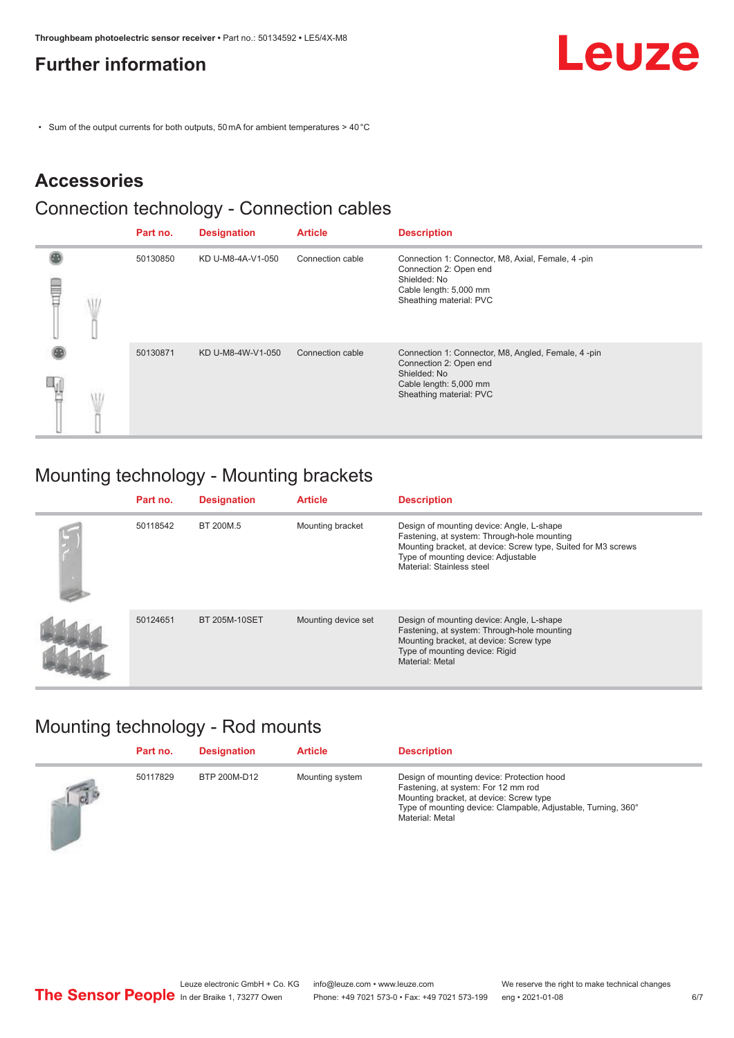## <span id="page-5-0"></span>**Further information**

• Sum of the output currents for both outputs, 50 mA for ambient temperatures > 40 °C

## **Accessories**

#### Connection technology - Connection cables

|   | Part no. | <b>Designation</b> | <b>Article</b>   | <b>Description</b>                                                                                                                                |
|---|----------|--------------------|------------------|---------------------------------------------------------------------------------------------------------------------------------------------------|
| ▤ | 50130850 | KD U-M8-4A-V1-050  | Connection cable | Connection 1: Connector, M8, Axial, Female, 4 -pin<br>Connection 2: Open end<br>Shielded: No<br>Cable length: 5,000 mm<br>Sheathing material: PVC |
|   | 50130871 | KD U-M8-4W-V1-050  | Connection cable | Connection 1: Connector, M8, Angled, Female, 4-pin<br>Connection 2: Open end<br>Shielded: No<br>Cable length: 5,000 mm<br>Sheathing material: PVC |

## Mounting technology - Mounting brackets

| Part no. | <b>Designation</b> | <b>Article</b>      | <b>Description</b>                                                                                                                                                                                                            |
|----------|--------------------|---------------------|-------------------------------------------------------------------------------------------------------------------------------------------------------------------------------------------------------------------------------|
| 50118542 | BT 200M.5          | Mounting bracket    | Design of mounting device: Angle, L-shape<br>Fastening, at system: Through-hole mounting<br>Mounting bracket, at device: Screw type, Suited for M3 screws<br>Type of mounting device: Adjustable<br>Material: Stainless steel |
| 50124651 | BT 205M-10SET      | Mounting device set | Design of mounting device: Angle, L-shape<br>Fastening, at system: Through-hole mounting<br>Mounting bracket, at device: Screw type<br>Type of mounting device: Rigid<br>Material: Metal                                      |

## Mounting technology - Rod mounts

|            | Part no. | <b>Designation</b> | <b>Article</b>  | <b>Description</b>                                                                                                                                                                                               |
|------------|----------|--------------------|-----------------|------------------------------------------------------------------------------------------------------------------------------------------------------------------------------------------------------------------|
| $\sqrt{d}$ | 50117829 | BTP 200M-D12       | Mounting system | Design of mounting device: Protection hood<br>Fastening, at system: For 12 mm rod<br>Mounting bracket, at device: Screw type<br>Type of mounting device: Clampable, Adjustable, Turning, 360°<br>Material: Metal |